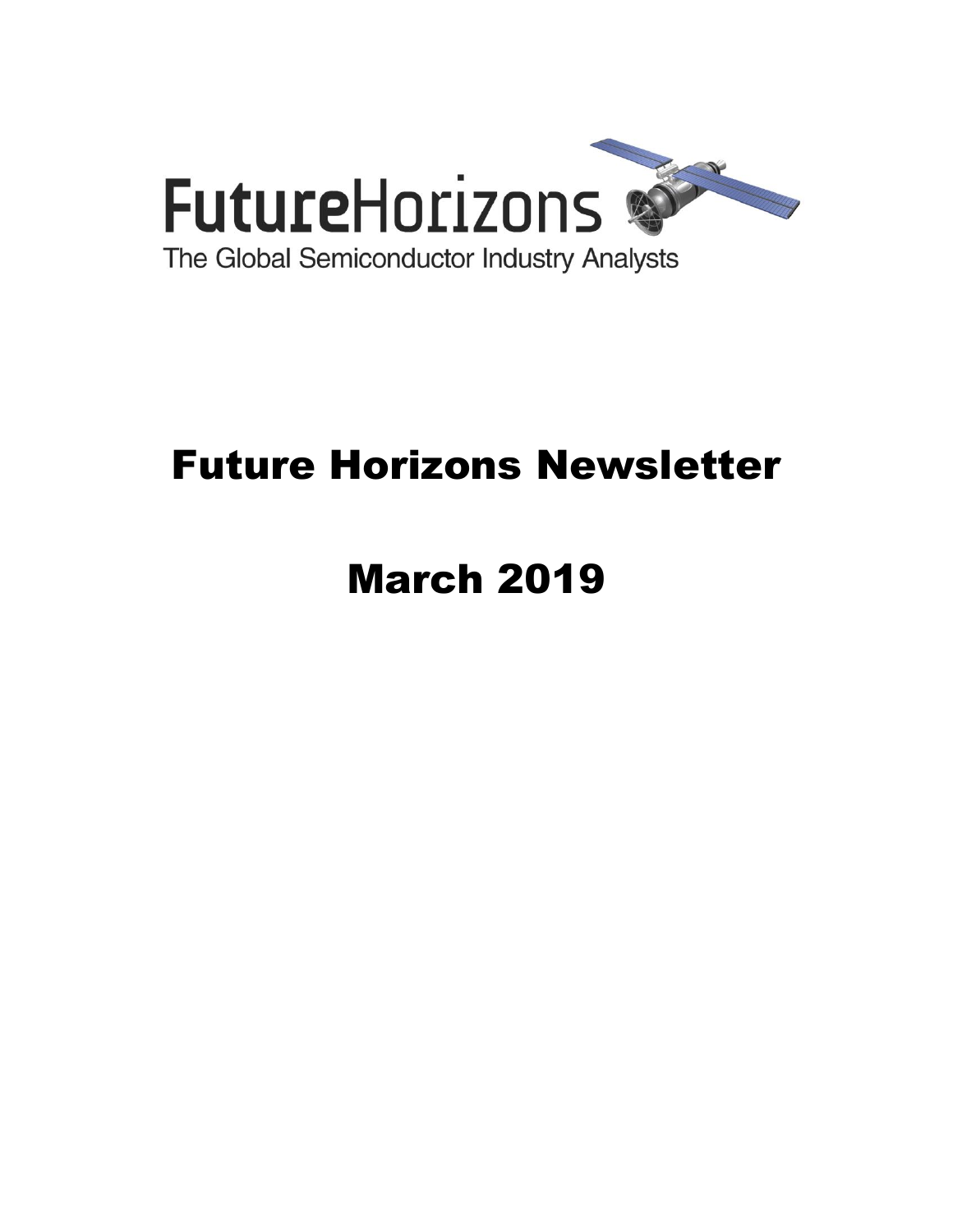

# Future Horizons Newsletter

# March 2019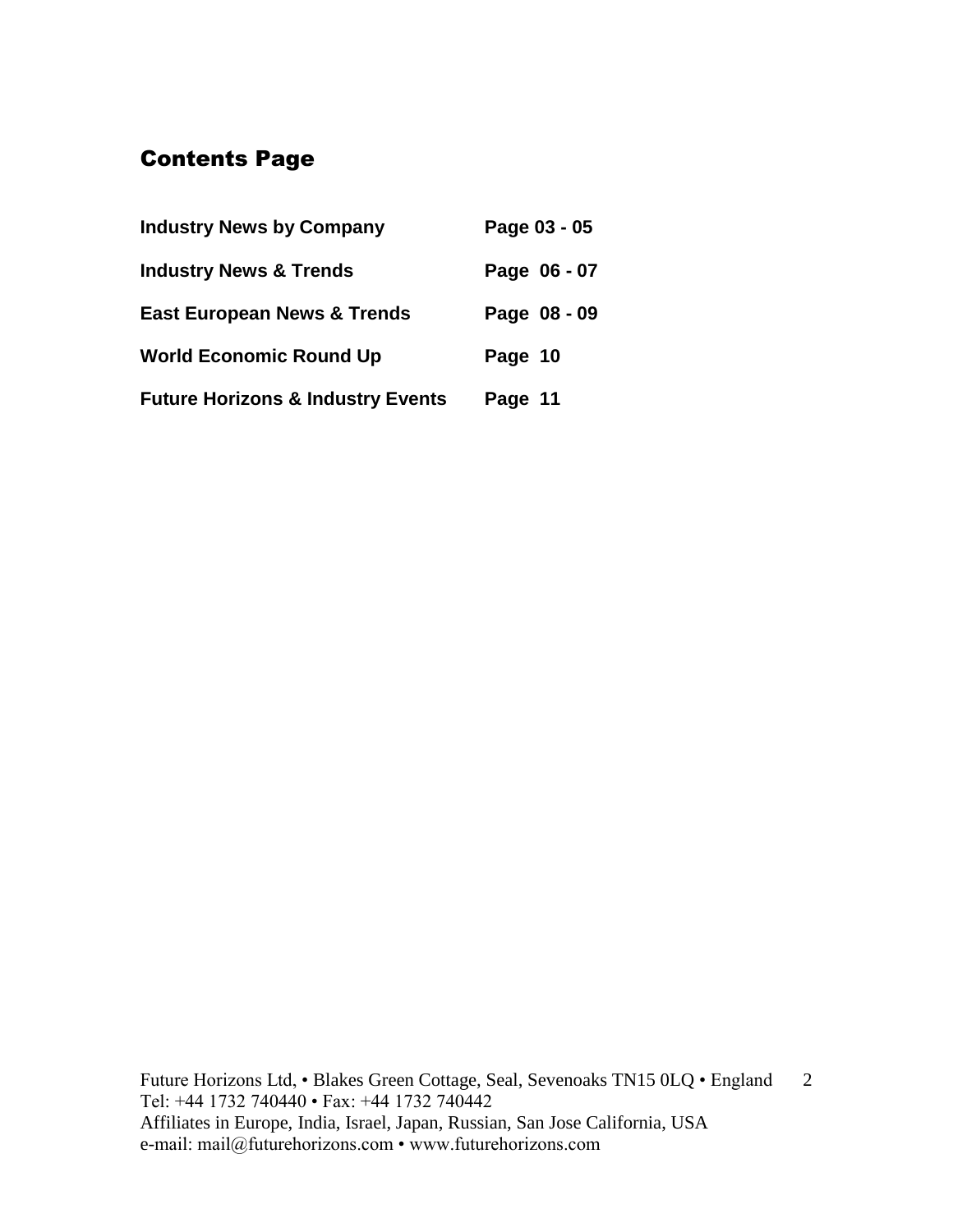# Contents Page

| <b>Industry News by Company</b>              | Page 03 - 05 |
|----------------------------------------------|--------------|
| <b>Industry News &amp; Trends</b>            | Page 06 - 07 |
| <b>East European News &amp; Trends</b>       | Page 08 - 09 |
| <b>World Economic Round Up</b>               | Page 10      |
| <b>Future Horizons &amp; Industry Events</b> | Page 11      |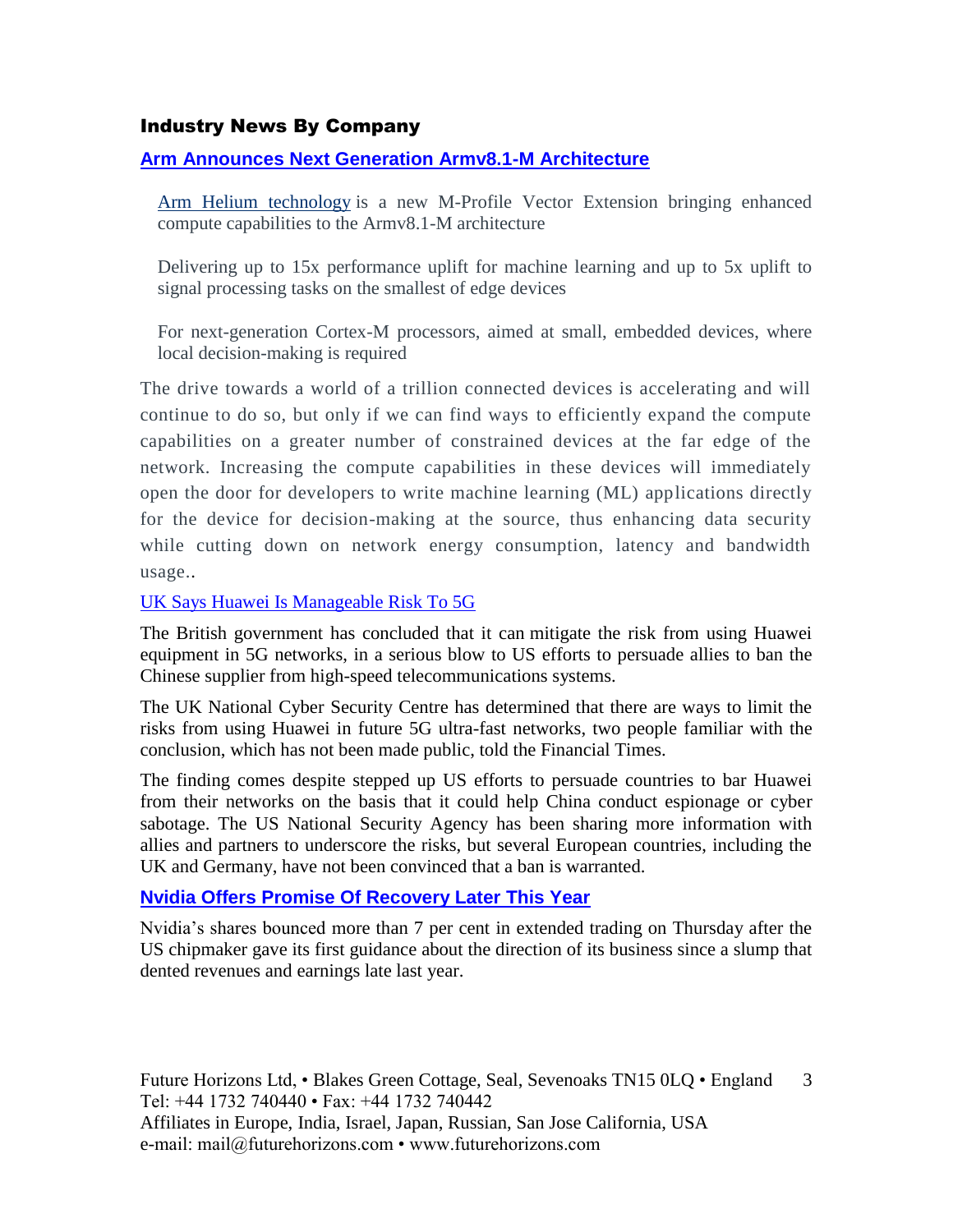#### Industry News By Company

#### **[Arm Announces Next Generation Armv8.1-M Architecture](https://www.cambridgenetwork.co.uk/news/arm-announces-next-generation-armv81-m-architecture/)**

[Arm Helium technology](https://www.arm.com/why-arm/technologies/helium) is a new M-Profile Vector Extension bringing enhanced compute capabilities to the Armv8.1-M architecture

Delivering up to 15x performance uplift for machine learning and up to 5x uplift to signal processing tasks on the smallest of edge devices

For next-generation Cortex-M processors, aimed at small, embedded devices, where local decision-making is required

The drive towards a world of a trillion connected devices is accelerating and will continue to do so, but only if we can find ways to efficiently expand the compute capabilities on a greater number of constrained devices at the far edge of the network. Increasing the compute capabilities in these devices will immediately open the door for developers to write machine learning (ML) applications directly for the device for decision-making at the source, thus enhancing data security while cutting down on network energy consumption, latency and bandwidth usage..

#### [UK Says Huawei Is Manageable Risk To 5G](https://www.ft.com/content/619f9df4-32c2-11e9-bd3a-8b2a211d90d5?emailId=5c6992d74c96cb0004f79eb7&segmentId=3d08be62-315f-7330-5bbd-af33dc531acb)

The British government has concluded that it can mitigate the risk from using Huawei equipment in 5G networks, in a serious blow to US efforts to persuade allies to ban the Chinese supplier from high-speed telecommunications systems.

The UK National Cyber Security Centre has determined that there are ways to limit the risks from using Huawei in future 5G ultra-fast networks, two people familiar with the conclusion, which has not been made public, told the Financial Times.

The finding comes despite stepped up US efforts to persuade countries to bar Huawei from their networks on the basis that it could help China conduct espionage or cyber sabotage. The US National Security Agency has been sharing more information with allies and partners to underscore the risks, but several European countries, including the UK and Germany, have not been convinced that a ban is warranted.

#### **[Nvidia Offers Promise Of Recovery Later This Year](https://www.ft.com/content/3296f9d6-30a0-11e9-8744-e7016697f225?desktop=true&segmentId=7c8f09b9-9b61-4fbb-9430-9208a9e233c8#myft:notification:daily-email:content)**

Nvidia's shares bounced more than 7 per cent in extended trading on Thursday after the US chipmaker gave its first guidance about the direction of its business since a slump that dented revenues and earnings late last year.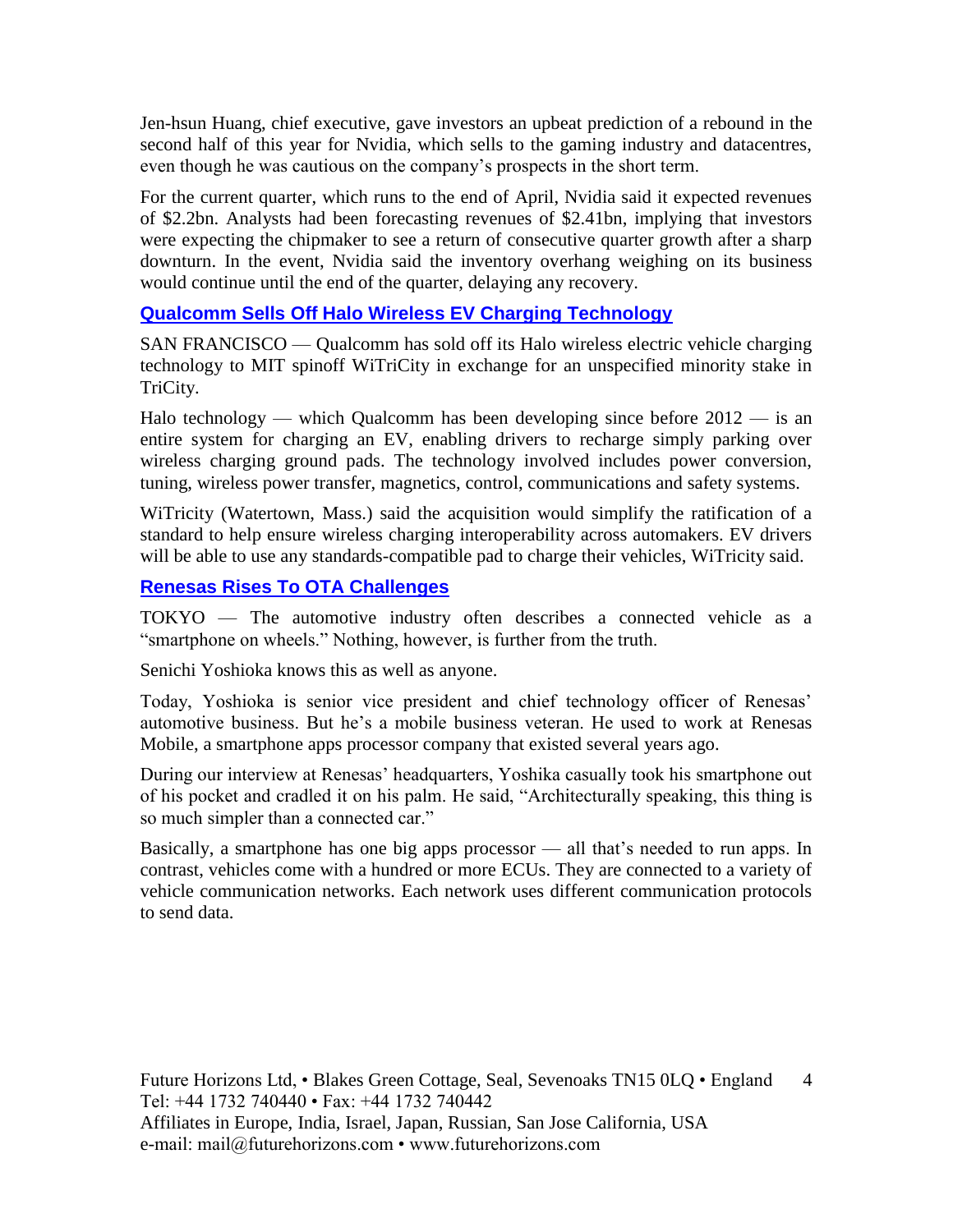Jen-hsun Huang, chief executive, gave investors an upbeat prediction of a rebound in the second half of this year for Nvidia, which sells to the gaming industry and datacentres, even though he was cautious on the company's prospects in the short term.

For the current quarter, which runs to the end of April, Nvidia said it expected revenues of \$2.2bn. Analysts had been forecasting revenues of \$2.41bn, implying that investors were expecting the chipmaker to see a return of consecutive quarter growth after a sharp downturn. In the event, Nvidia said the inventory overhang weighing on its business would continue until the end of the quarter, delaying any recovery.

#### **[Qualcomm Sells Off Halo Wireless EV Charging Technology](https://www.eetimes.com/document.asp?doc_id=1334319&_mc=RSS_EET_EDT&utm_source=newsletter&utm_campaign=link&utm_medium=EETimesDaily-20190214)**

SAN FRANCISCO — Qualcomm has sold off its Halo wireless electric vehicle charging technology to MIT spinoff WiTriCity in exchange for an unspecified minority stake in TriCity.

Halo technology — which Qualcomm has been developing since before  $2012 -$  is an entire system for charging an EV, enabling drivers to recharge simply parking over wireless charging ground pads. The technology involved includes power conversion, tuning, wireless power transfer, magnetics, control, communications and safety systems.

WiTricity (Watertown, Mass.) said the acquisition would simplify the ratification of a standard to help ensure wireless charging interoperability across automakers. EV drivers will be able to use any standards-compatible pad to charge their vehicles, WiTricity said.

#### **[Renesas Rises To OTA Challenges](https://www.eetimes.com/document.asp?doc_id=1334302)**

TOKYO — The automotive industry often describes a connected vehicle as a "smartphone on wheels." Nothing, however, is further from the truth.

Senichi Yoshioka knows this as well as anyone.

Today, Yoshioka is senior vice president and chief technology officer of Renesas' automotive business. But he's a mobile business veteran. He used to work at Renesas Mobile, a smartphone apps processor company that existed several years ago.

During our interview at Renesas' headquarters, Yoshika casually took his smartphone out of his pocket and cradled it on his palm. He said, "Architecturally speaking, this thing is so much simpler than a connected car."

Basically, a smartphone has one big apps processor — all that's needed to run apps. In contrast, vehicles come with a hundred or more ECUs. They are connected to a variety of vehicle communication networks. Each network uses different communication protocols to send data.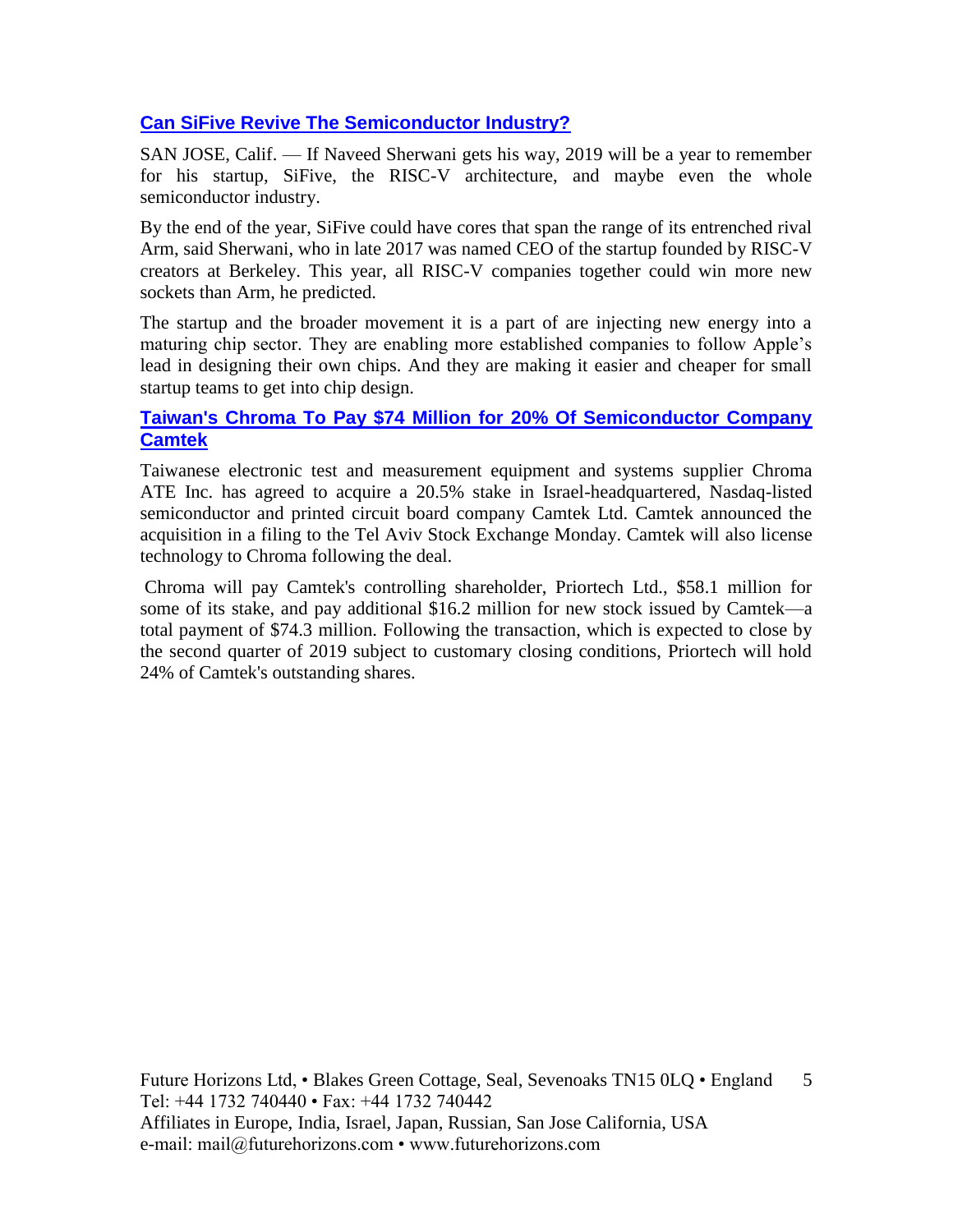#### **[Can SiFive Revive The Semiconductor Industry?](https://www.eetindia.co.in/news/article/Can-SiFive-Revive-the-Semiconductor-Industry?utm_source=EETI%20Article%20Alert&utm_medium=Email&utm_campaign=2019-02-19)**

SAN JOSE, Calif. — If Naveed Sherwani gets his way, 2019 will be a year to remember for his startup, SiFive, the RISC-V architecture, and maybe even the whole semiconductor industry.

By the end of the year, SiFive could have cores that span the range of its entrenched rival Arm, said Sherwani, who in late 2017 was named CEO of the startup founded by RISC-V creators at Berkeley. This year, all RISC-V companies together could win more new sockets than Arm, he predicted.

The startup and the broader movement it is a part of are injecting new energy into a maturing chip sector. They are enabling more established companies to follow Apple's lead in designing their own chips. And they are making it easier and cheaper for small startup teams to get into chip design.

#### **[Taiwan's Chroma To Pay \\$74 Million for 20% Of Semiconductor Company](https://www.calcalistech.com/ctech/articles/0,7340,L-3756091,00.html)  [Camtek](https://www.calcalistech.com/ctech/articles/0,7340,L-3756091,00.html)**

Taiwanese electronic test and measurement equipment and systems supplier Chroma ATE Inc. has agreed to acquire a 20.5% stake in Israel-headquartered, Nasdaq-listed semiconductor and printed circuit board company Camtek Ltd. Camtek announced the acquisition in a filing to the Tel Aviv Stock Exchange Monday. Camtek will also license technology to Chroma following the deal.

Chroma will pay Camtek's controlling shareholder, Priortech Ltd., \$58.1 million for some of its stake, and pay additional \$16.2 million for new stock issued by Camtek—a total payment of \$74.3 million. Following the transaction, which is expected to close by the second quarter of 2019 subject to customary closing conditions, Priortech will hold 24% of Camtek's outstanding shares.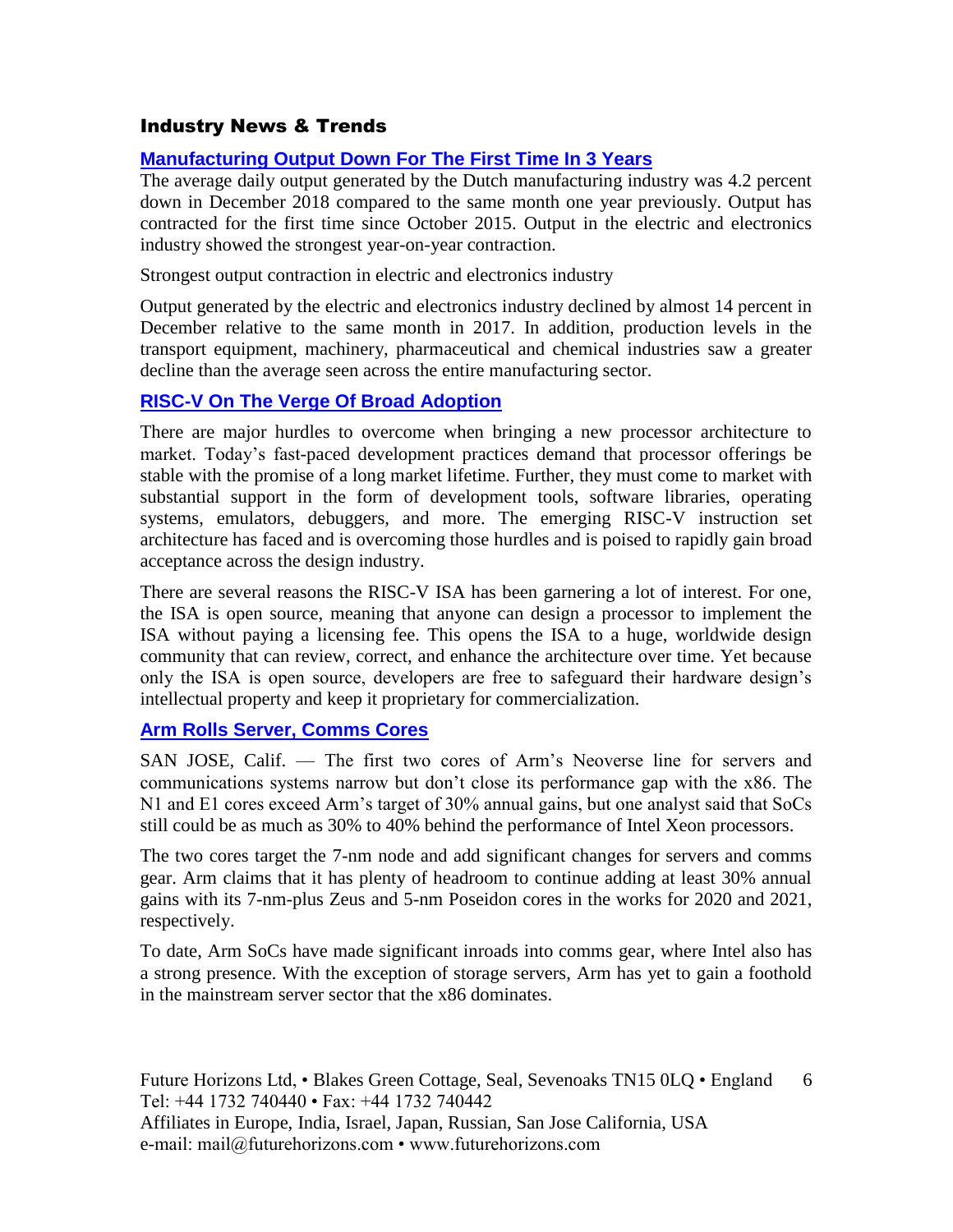#### Industry News & Trends

#### **[Manufacturing Output Down For The First Time In 3 Years](https://www.cbs.nl/en-gb/news/2019/07/manufacturing-output-down-for-the-first-time-in-3-years)**

The average daily output generated by the Dutch manufacturing industry was 4.2 percent down in December 2018 compared to the same month one year previously. Output has contracted for the first time since October 2015. Output in the electric and electronics industry showed the strongest year-on-year contraction.

Strongest output contraction in electric and electronics industry

Output generated by the electric and electronics industry declined by almost 14 percent in December relative to the same month in 2017. In addition, production levels in the transport equipment, machinery, pharmaceutical and chemical industries saw a greater decline than the average seen across the entire manufacturing sector.

#### **[RISC-V On The Verge Of Broad Adoption](https://www.eetimes.com/document.asp?doc_id=1334311&_mc=RSS_EET_EDT&utm_source=newsletter&utm_campaign=link&utm_medium=EETimesDaily-20190215)**

There are major hurdles to overcome when bringing a new processor architecture to market. Today's fast-paced development practices demand that processor offerings be stable with the promise of a long market lifetime. Further, they must come to market with substantial support in the form of development tools, software libraries, operating systems, emulators, debuggers, and more. The emerging RISC-V instruction set architecture has faced and is overcoming those hurdles and is poised to rapidly gain broad acceptance across the design industry.

There are several reasons the RISC-V ISA has been garnering a lot of interest. For one, the ISA is open source, meaning that anyone can design a processor to implement the ISA without paying a licensing fee. This opens the ISA to a huge, worldwide design community that can review, correct, and enhance the architecture over time. Yet because only the ISA is open source, developers are free to safeguard their hardware design's intellectual property and keep it proprietary for commercialization.

#### **[Arm Rolls Server, Comms Cores](https://www.eetimes.com/document.asp?doc_id=1334329&_mc=RSS_EET_EDT&utm_source=newsletter&utm_campaign=link&utm_medium=EETimesDaily-20190221)**

SAN JOSE, Calif. — The first two cores of Arm's Neoverse line for servers and communications systems narrow but don't close its performance gap with the x86. The N1 and E1 cores exceed Arm's target of 30% annual gains, but one analyst said that SoCs still could be as much as 30% to 40% behind the performance of Intel Xeon processors.

The two cores target the 7-nm node and add significant changes for servers and comms gear. Arm claims that it has plenty of headroom to continue adding at least 30% annual gains with its 7-nm-plus Zeus and 5-nm Poseidon cores in the works for 2020 and 2021, respectively.

To date, Arm SoCs have made significant inroads into comms gear, where Intel also has a strong presence. With the exception of storage servers, Arm has yet to gain a foothold in the mainstream server sector that the x86 dominates.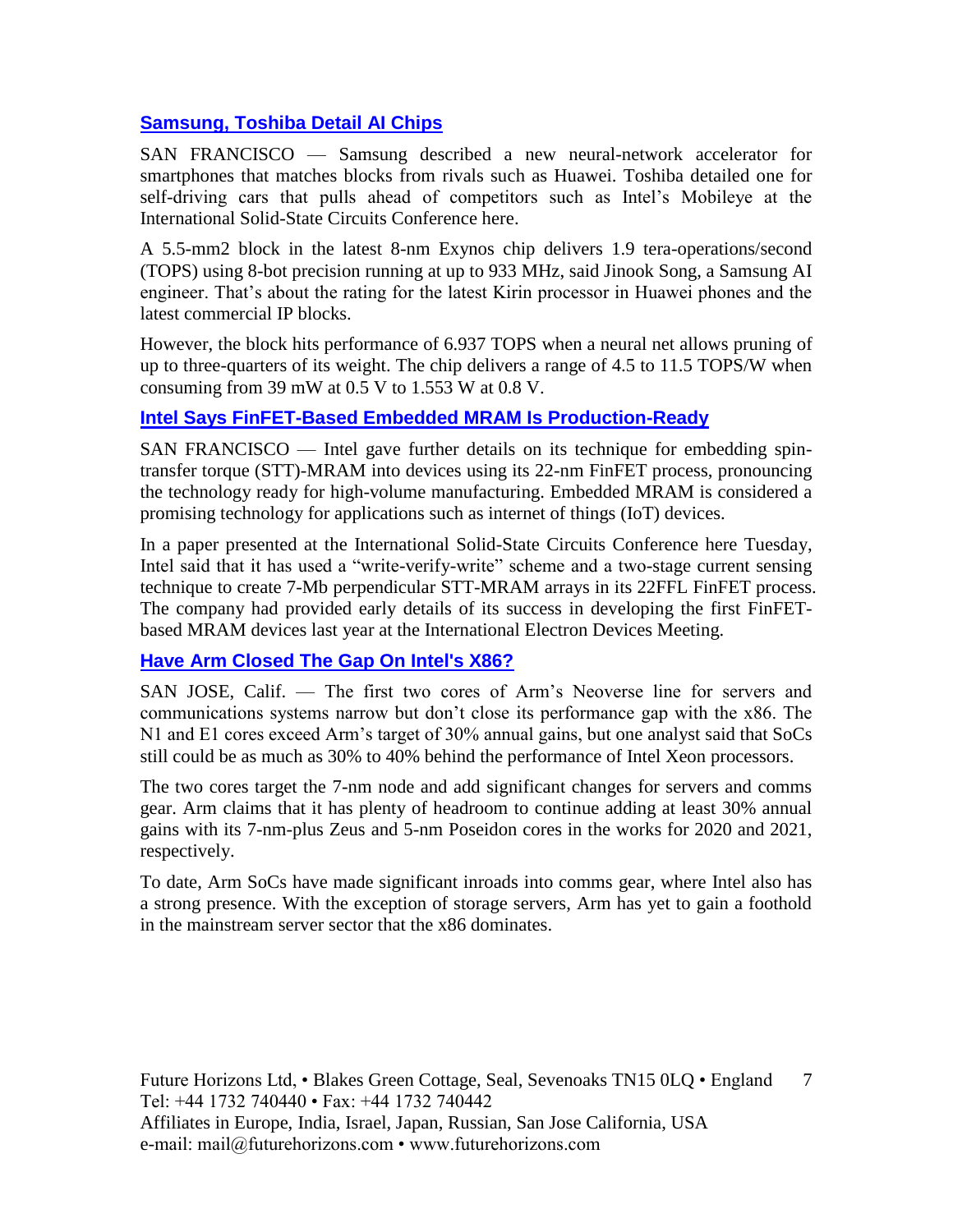#### **[Samsung, Toshiba Detail AI Chips](https://www.eetimes.com/document.asp?doc_id=1334340&_mc=RSS_EET_EDT&utm_source=newsletter&utm_campaign=link&utm_medium=EETimesDaily-20190221)**

SAN FRANCISCO — Samsung described a new neural-network accelerator for smartphones that matches blocks from rivals such as Huawei. Toshiba detailed one for self-driving cars that pulls ahead of competitors such as Intel's Mobileye at the International Solid-State Circuits Conference here.

A 5.5-mm2 block in the latest 8-nm Exynos chip delivers 1.9 tera-operations/second (TOPS) using 8-bot precision running at up to 933 MHz, said Jinook Song, a Samsung AI engineer. That's about the rating for the latest Kirin processor in Huawei phones and the latest commercial IP blocks.

However, the block hits performance of 6.937 TOPS when a neural net allows pruning of up to three-quarters of its weight. The chip delivers a range of 4.5 to 11.5 TOPS/W when consuming from 39 mW at  $0.5$  V to  $1.553$  W at  $0.8$  V.

#### **[Intel Says FinFET-Based Embedded MRAM Is Production-Ready](https://www.eetimes.com/document.asp?doc_id=1334343&_mc=RSS_EET_EDT&utm_source=newsletter&utm_campaign=link&utm_medium=EETimesDaily-20190221)**

SAN FRANCISCO — Intel gave further details on its technique for embedding spintransfer torque (STT)-MRAM into devices using its 22-nm FinFET process, pronouncing the technology ready for high-volume manufacturing. Embedded MRAM is considered a promising technology for applications such as internet of things (IoT) devices.

In a paper presented at the International Solid-State Circuits Conference here Tuesday, Intel said that it has used a "write-verify-write" scheme and a two-stage current sensing technique to create 7-Mb perpendicular STT-MRAM arrays in its 22FFL FinFET process. The company had provided early details of its success in developing the first FinFETbased MRAM devices last year at the International Electron Devices Meeting.

#### **[Have Arm Closed The Gap On Intel's X86?](https://www.eetindia.co.in/news/article/Have-Arm-Closed-the-Gap-on-Intels-x86?utm_source=EETI%20Article%20Alert&utm_medium=Email&utm_campaign=2019-02-22)**

SAN JOSE, Calif. — The first two cores of Arm's Neoverse line for servers and communications systems narrow but don't close its performance gap with the x86. The N1 and E1 cores exceed Arm's target of 30% annual gains, but one analyst said that SoCs still could be as much as 30% to 40% behind the performance of Intel Xeon processors.

The two cores target the 7-nm node and add significant changes for servers and comms gear. Arm claims that it has plenty of headroom to continue adding at least 30% annual gains with its 7-nm-plus Zeus and 5-nm Poseidon cores in the works for 2020 and 2021, respectively.

To date, Arm SoCs have made significant inroads into comms gear, where Intel also has a strong presence. With the exception of storage servers, Arm has yet to gain a foothold in the mainstream server sector that the x86 dominates.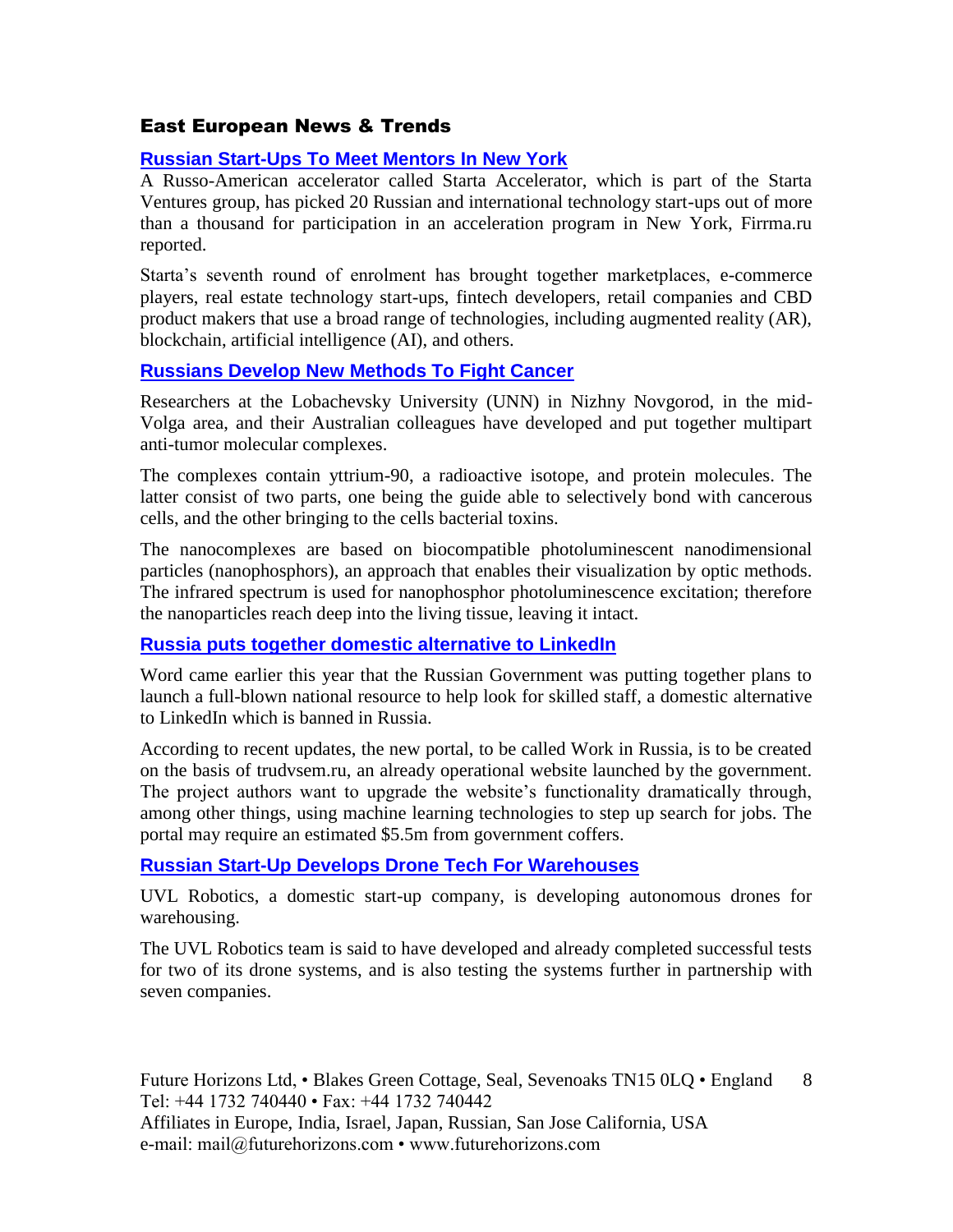#### East European News & Trends

#### **[Russian Start-Ups To Meet Mentors In New York](http://marchmontnews.com/Finance-Business/Central-regions/22039-Russian-start-ups-meet-mentors-New-York.html)**

A Russo-American accelerator called Starta Accelerator, which is part of the Starta Ventures group, has picked 20 Russian and international technology start-ups out of more than a thousand for participation in an acceleration program in New York, Firrma.ru reported.

Starta's seventh round of enrolment has brought together marketplaces, e-commerce players, real estate technology start-ups, fintech developers, retail companies and CBD product makers that use a broad range of technologies, including augmented reality (AR), blockchain, artificial intelligence (AI), and others.

#### **[Russians Develop New Methods To Fight Cancer](http://marchmontnews.com/Technology-Innovation/Volga/22020-Russians-develop-new-methods-fight-cancer.html)**

Researchers at the Lobachevsky University (UNN) in Nizhny Novgorod, in the mid-Volga area, and their Australian colleagues have developed and put together multipart anti-tumor molecular complexes.

The complexes contain yttrium-90, a radioactive isotope, and protein molecules. The latter consist of two parts, one being the guide able to selectively bond with cancerous cells, and the other bringing to the cells bacterial toxins.

The nanocomplexes are based on biocompatible photoluminescent nanodimensional particles (nanophosphors), an approach that enables their visualization by optic methods. The infrared spectrum is used for nanophosphor photoluminescence excitation; therefore the nanoparticles reach deep into the living tissue, leaving it intact.

#### **[Russia puts together domestic alternative to LinkedIn](http://www.marchmontnews.com/Technology-Innovation/Central-regions/22021-Russia-puts-together-domestic-alternative-LinkedIn-.html)**

Word came earlier this year that the Russian Government was putting together plans to launch a full-blown national resource to help look for skilled staff, a domestic alternative to LinkedIn which is banned in Russia.

According to recent updates, the new portal, to be called Work in Russia, is to be created on the basis of trudvsem.ru, an already operational website launched by the government. The project authors want to upgrade the website's functionality dramatically through, among other things, using machine learning technologies to step up search for jobs. The portal may require an estimated \$5.5m from government coffers.

#### **[Russian Start-Up Develops Drone Tech For Warehouses](http://www.marchmontnews.com/Transport-Logistics/Central-regions/21956-Russian-start-up-develops-drone-tech-for-warehouses.html)**

UVL Robotics, a domestic start-up company, is developing autonomous drones for warehousing.

The UVL Robotics team is said to have developed and already completed successful tests for two of its drone systems, and is also testing the systems further in partnership with seven companies.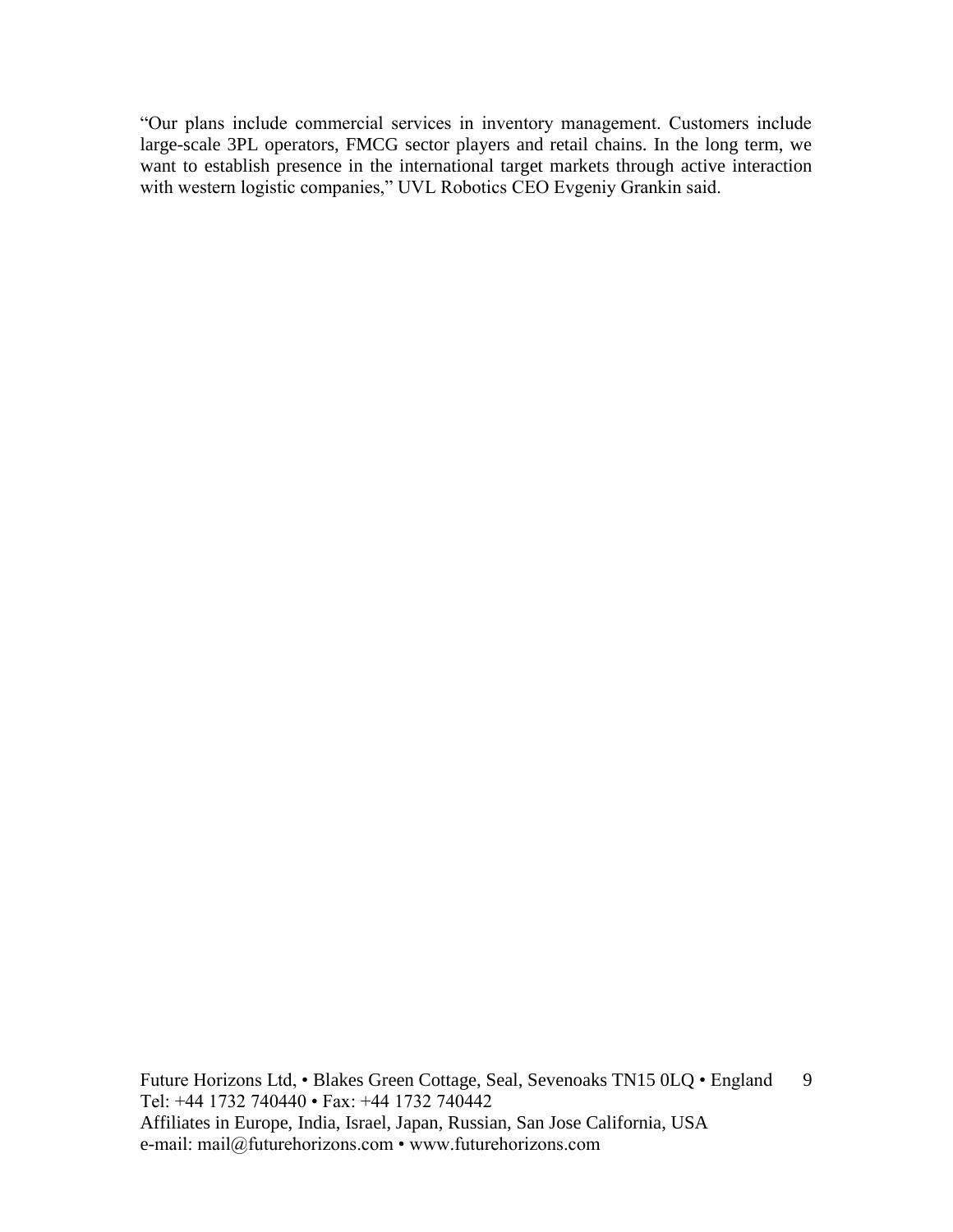"Our plans include commercial services in inventory management. Customers include large-scale 3PL operators, FMCG sector players and retail chains. In the long term, we want to establish presence in the international target markets through active interaction with western logistic companies," UVL Robotics CEO Evgeniy Grankin said.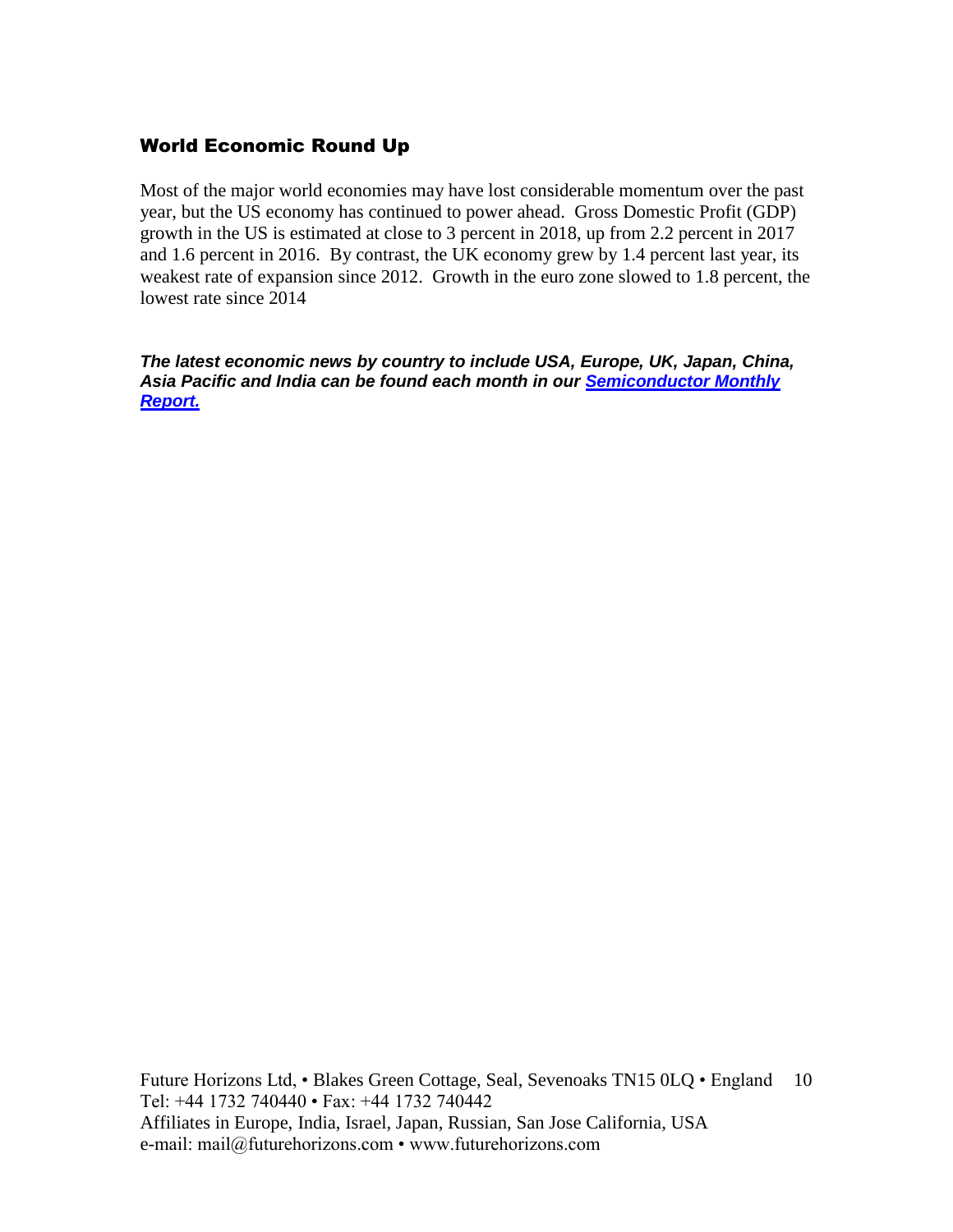#### World Economic Round Up

Most of the major world economies may have lost considerable momentum over the past year, but the US economy has continued to power ahead. Gross Domestic Profit (GDP) growth in the US is estimated at close to 3 percent in 2018, up from 2.2 percent in 2017 and 1.6 percent in 2016. By contrast, the UK economy grew by 1.4 percent last year, its weakest rate of expansion since 2012. Growth in the euro zone slowed to 1.8 percent, the lowest rate since 2014

*The latest economic news by country to include USA, Europe, UK, Japan, China, Asia Pacific and India can be found each month in our [Semiconductor Monthly](http://www.futurehorizons.com/page/18/Global-Semiconductor-Report)  [Report.](http://www.futurehorizons.com/page/18/Global-Semiconductor-Report)*